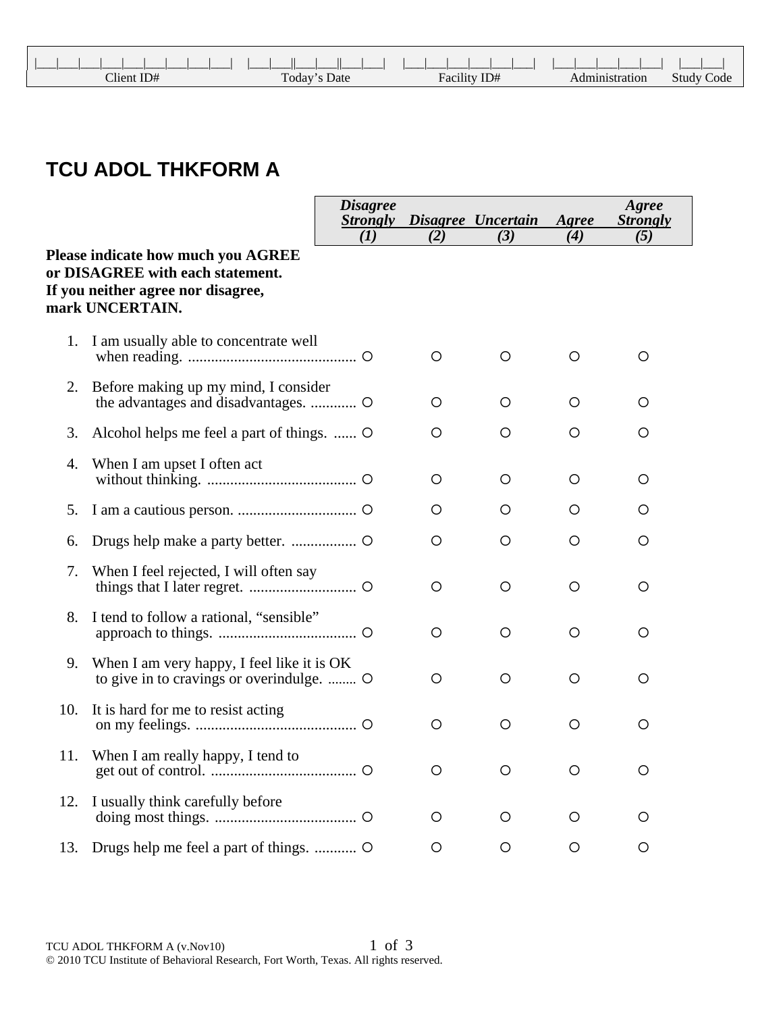| Client ID# | Today's Date | Facility ID# | Administration | <b>Study Code</b> |
|------------|--------------|--------------|----------------|-------------------|

## **TCU ADOL THKFORM A**

|     |                                                                                                                                 | <b>Disagree</b><br><b>Strongly</b> |     | Disagree Uncertain | Agree   | Agree<br><b>Strongly</b> |
|-----|---------------------------------------------------------------------------------------------------------------------------------|------------------------------------|-----|--------------------|---------|--------------------------|
|     | Please indicate how much you AGREE<br>or DISAGREE with each statement.<br>If you neither agree nor disagree,<br>mark UNCERTAIN. | (1)                                | (2) | (3)                | (4)     | (5)                      |
| 1.  | I am usually able to concentrate well                                                                                           |                                    | O   | O                  | O       | O                        |
| 2.  | Before making up my mind, I consider                                                                                            |                                    | O   | O                  | O       | O                        |
| 3.  | Alcohol helps me feel a part of things.                                                                                         |                                    | О   | O                  | O       | О                        |
| 4.  | When I am upset I often act                                                                                                     |                                    | O   | O                  | O       | O                        |
| 5.  |                                                                                                                                 |                                    | O   | O                  | O       | O                        |
| 6.  |                                                                                                                                 |                                    | O   | O                  | O       | O                        |
| 7.  | When I feel rejected, I will often say                                                                                          |                                    | O   | O                  | O       | O                        |
| 8.  | I tend to follow a rational, "sensible"                                                                                         |                                    | O   | O                  | O       | O                        |
| 9.  | When I am very happy, I feel like it is OK<br>to give in to cravings or overindulge.                                            |                                    | O   | O                  | $\circ$ | O                        |
| 10. | It is hard for me to resist acting                                                                                              |                                    | О   | O                  | O       | O                        |
| 11. | When I am really happy, I tend to                                                                                               |                                    | O   | O                  | O       | O                        |
| 12. | I usually think carefully before                                                                                                |                                    | O   | O                  | O       | O                        |
| 13. |                                                                                                                                 |                                    | O   | O                  | O       | O                        |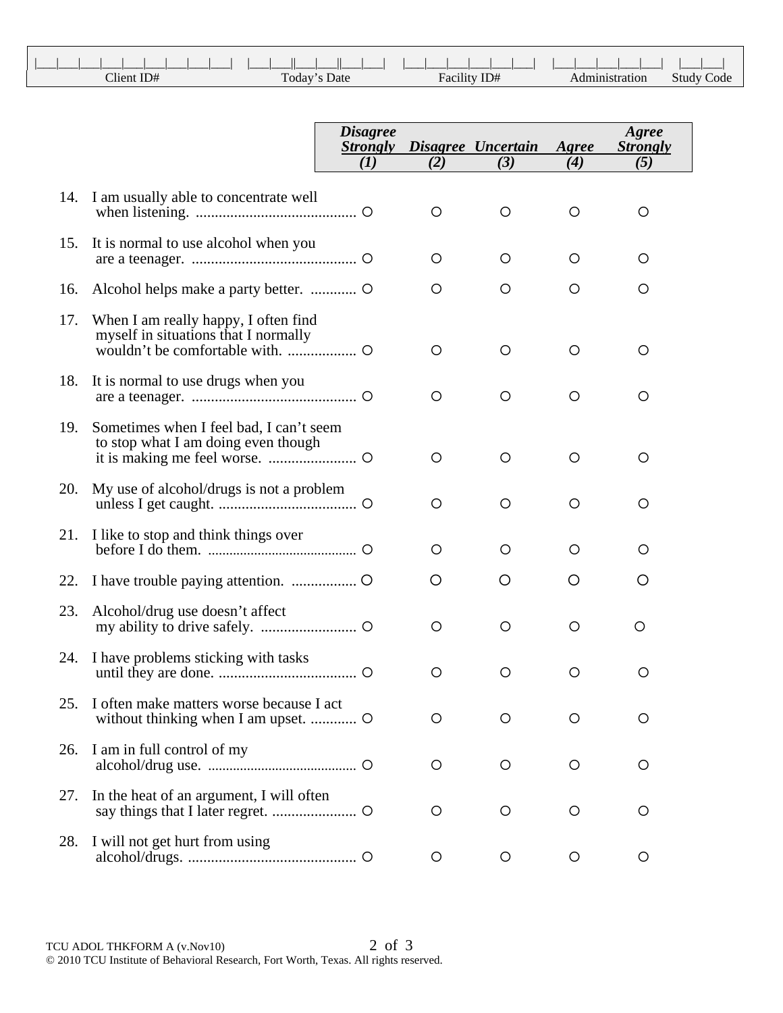|            |              | a sa T       |                |                   |
|------------|--------------|--------------|----------------|-------------------|
| Client ID# | Today's Date | Facility ID# | Administration | <b>Study Code</b> |

|     |                                                                                | <b>Disagree</b><br><b>Strongly</b> |         | Disagree Uncertain | Agree   | Agree<br><b>Strongly</b> |
|-----|--------------------------------------------------------------------------------|------------------------------------|---------|--------------------|---------|--------------------------|
|     |                                                                                | (1)                                | (2)     | (3)                | (4)     | (5)                      |
|     | 14. I am usually able to concentrate well                                      |                                    | O       | O                  | $\circ$ | O                        |
| 15. | It is normal to use alcohol when you                                           |                                    | $\circ$ | $\circ$            | $\circ$ | O                        |
| 16. |                                                                                |                                    | $\circ$ | $\circ$            | $\circ$ | O                        |
| 17. | When I am really happy, I often find<br>myself in situations that I normally   |                                    | O       | O                  | O       | O                        |
| 18. | It is normal to use drugs when you                                             |                                    | $\circ$ | O                  | O       | O                        |
| 19. | Sometimes when I feel bad, I can't seem<br>to stop what I am doing even though |                                    | O       | O                  | O       | O                        |
| 20. | My use of alcohol/drugs is not a problem                                       |                                    | O       | O                  | O       | O                        |
| 21. | I like to stop and think things over                                           |                                    | $\circ$ | O                  | O       | O                        |
| 22. |                                                                                |                                    | Ő       | Ő                  | Ő       | Ő                        |
| 23. | Alcohol/drug use doesn't affect                                                |                                    | $\circ$ | O                  | O       | O                        |
| 24. | I have problems sticking with tasks                                            |                                    | O       | O                  | O       | O                        |
| 25. | I often make matters worse because I act                                       |                                    | O       | O                  | O       | O                        |
| 26. | I am in full control of my                                                     |                                    | $\circ$ | $\circ$            | $\circ$ | O                        |
| 27. | In the heat of an argument, I will often                                       |                                    | $\circ$ | O                  | O       | O                        |
| 28. | I will not get hurt from using                                                 |                                    | O       | O                  | O       | O                        |